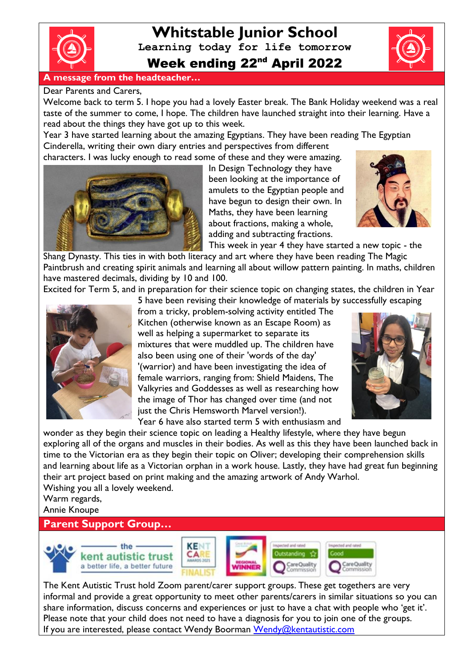

# **Whitstable Junior School Learning today for life tomorrow** Week ending 22<sup>nd</sup> April 2022



### Dear Parents and Carers,

Welcome back to term 5. I hope you had a lovely Easter break. The Bank Holiday weekend was a real taste of the summer to come, I hope. The children have launched straight into their learning. Have a read about the things they have got up to this week.

Year 3 have started learning about the amazing Egyptians. They have been reading The Egyptian Cinderella, writing their own diary entries and perspectives from different

characters. I was lucky enough to read some of these and they were amazing.



In Design Technology they have been looking at the importance of amulets to the Egyptian people and have begun to design their own. In Maths, they have been learning about fractions, making a whole, adding and subtracting fractions.



This week in year 4 they have started a new topic - the

Shang Dynasty. This ties in with both literacy and art where they have been reading The Magic Paintbrush and creating spirit animals and learning all about willow pattern painting. In maths, children have mastered decimals, dividing by 10 and 100.

Excited for Term 5, and in preparation for their science topic on changing states, the children in Year 5 have been revising their knowledge of materials by successfully escaping



from a tricky, problem-solving activity entitled The Kitchen (otherwise known as an Escape Room) as well as helping a supermarket to separate its mixtures that were muddled up. The children have also been using one of their 'words of the day' '(warrior) and have been investigating the idea of female warriors, ranging from: Shield Maidens, The Valkyries and Goddesses as well as researching how the image of Thor has changed over time (and not just the Chris Hemsworth Marvel version!). Year 6 have also started term 5 with enthusiasm and



wonder as they begin their science topic on leading a Healthy lifestyle, where they have begun exploring all of the organs and muscles in their bodies. As well as this they have been launched back in time to the Victorian era as they begin their topic on Oliver; developing their comprehension skills and learning about life as a Victorian orphan in a work house. Lastly, they have had great fun beginning their art project based on print making and the amazing artwork of Andy Warhol. Wishing you all a lovely weekend.

Warm regards, Annie Knoupe

## **Parent Support Group…**



The Kent Autistic Trust hold Zoom parent/carer support groups. These get togethers are very informal and provide a great opportunity to meet other parents/carers in similar situations so you can share information, discuss concerns and experiences or just to have a chat with people who 'get it'. Please note that your child does not need to have a diagnosis for you to join one of the groups. If you are interested, please contact Wendy Boorman [Wendy@kentautistic.com](mailto:Wendy@kentautistic.com)

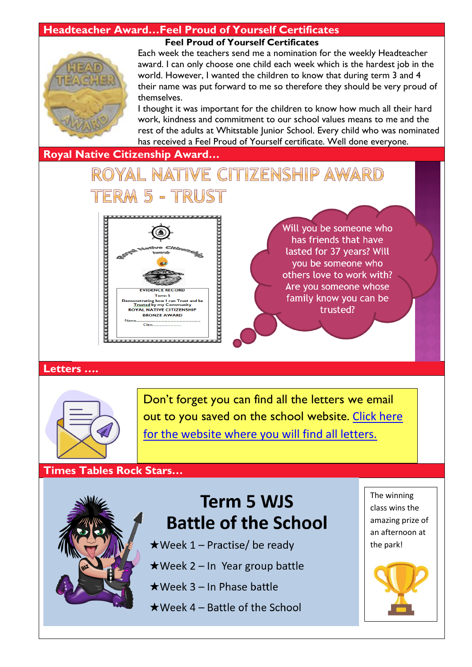## **Headteacher Award…Feel Proud of Yourself Certificates**



#### **Feel Proud of Yourself Certificates**

Each week the teachers send me a nomination for the weekly Headteacher award. I can only choose one child each week which is the hardest job in the world. However, I wanted the children to know that during term 3 and 4 their name was put forward to me so therefore they should be very proud of themselves.

I thought it was important for the children to know how much all their hard work, kindness and commitment to our school values means to me and the rest of the adults at Whitstable Junior School. Every child who was nominated has received a Feel Proud of Yourself certificate. Well done everyone.

### **Royal Native Citizenship Award…**

# ROYAL NATIVE CITIZENSHIP AWARD M 5 - TRUST



Will you be someone who has friends that have lasted for 37 years? Will you be someone who others love to work with? Are you someone whose family know you can be trusted?

### **Letters ….**



Don't forget you can find all the letters we email out to you saved on the school website. [Click here](http://www.whitstable-junior.kent.sch.uk/)  [for the website where you will find all letters.](http://www.whitstable-junior.kent.sch.uk/)

### **Times Tables Rock Stars…**



# **Term 5 WJS Battle of the School**

- ★Week 1 Practise/ be ready
- $\star$ Week 2 In Year group battle
- $\star$  Week 3 In Phase battle
- $\star$  Week 4 Battle of the School

The winning class wins the amazing prize of an afternoon at the park!